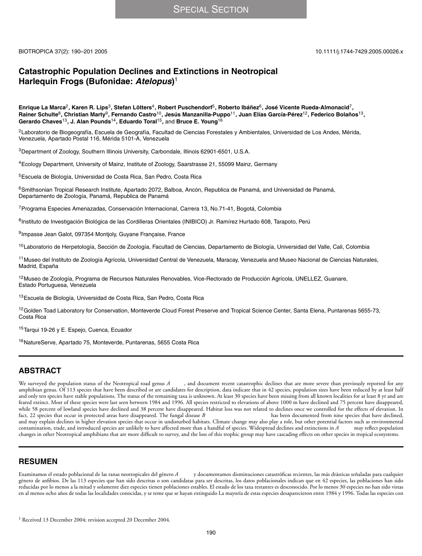# **Catastrophic Population Declines and Extinctions in Neotropical Harlequin Frogs (Bufonidae: Atelopus)** 1

**Enrique La Marca**2**, Karen R. Lips**3**, Stefan Lotters ¨** <sup>4</sup>**, Robert Puschendorf**5**, Roberto Iba´nez ˜** <sup>6</sup>**, Jose Vicente Rueda-Almonacid ´** <sup>7</sup>**, Rainer Schulte**8**, Christian Marty**9**, Fernando Castro**10**, Jesus Manzanilla-Puppo ´** <sup>11</sup>**, Juan El´ıas Garc´ıa-Perez ´** <sup>12</sup>**, Federico Bolanos ˜** <sup>13</sup>**, Gerardo Chaves**13**, J. Alan Pounds**14**, Eduardo Toral**15**,** and **Bruce E. Young**<sup>16</sup>

<sup>2</sup>Laboratorio de Biogeografía, Escuela de Geografía, Facultad de Ciencias Forestales y Ambientales, Universidad de Los Andes, Mérida, Venezuela, Apartado Postal 116, Merida 5101-A, Venezuela ´

3Department of Zoology, Southern Illinois University, Carbondale, Illinois 62901-6501, U.S.A.

4Ecology Department, University of Mainz, Institute of Zoology, Saarstrasse 21, 55099 Mainz, Germany

<sup>5</sup>Escuela de Biología, Universidad de Costa Rica, San Pedro, Costa Rica

6 Smithsonian Tropical Research Institute, Apartado 2072, Balboa, Ancón, Republica de Panamá, and Universidad de Panamá, Departamento de Zoología, Panamá, Republica de Panamá

<sup>7</sup> Programa Especies Amenazadas, Conservación Internacional, Carrera 13, No.71-41, Bogotá, Colombia

8Instituto de Investigación Biológica de las Cordilleras Orientales (INIBICO) Jr. Ramírez Hurtado 608, Tarapoto, Perú

9Impasse Jean Galot, 097354 Montjoly, Guyane Française, France

<sup>10</sup>Laboratorio de Herpetología, Sección de Zoología, Facultad de Ciencias, Departamento de Biología, Universidad del Valle, Cali, Colombia

<sup>11</sup> Museo del Instituto de Zoología Agrícola, Universidad Central de Venezuela, Maracay, Venezuela and Museo Nacional de Ciencias Naturales, Madrid, España

<sup>12</sup>Museo de Zoología, Programa de Recursos Naturales Renovables, Vice-Rectorado de Producción Agrícola, UNELLEZ, Guanare, Estado Portuguesa, Venezuela

13 Escuela de Biología, Universidad de Costa Rica, San Pedro, Costa Rica

<sup>12</sup> Golden Toad Laboratory for Conservation, Monteverde Cloud Forest Preserve and Tropical Science Center, Santa Elena, Puntarenas 5655-73, Costa Rica

15 Tarqui 19-26 y E. Espejo, Cuenca, Ecuador

<sup>16</sup>NatureServe, Apartado 75, Monteverde, Puntarenas, 5655 Costa Rica

## **ABSTRACT**

We surveyed the population status of the Neotropical toad genus *A*<sub>3</sub> and document recent catastrophic declines that are more severe than previously reported for any amphibian genus. Of 113 species that have been described or are candidates for description, data indicate that in 42 species, population sizes have been reduced by at least half and only ten species have stable populations. The status of the remaining taxa is unknown. At least 30 species have been missing from all known localities for at least 8 yr and are feared extinct. Most of these species were last seen between 1984 and 1996. All species restricted to elevations of above 1000 m have declined and 75 percent have disappeared, while 58 percent of lowland species have declined and 38 percent have disappeared. Habitat loss was not related to declines once we controlled for the effects of elevation. In fact, 22 species that occur in protected area fact, 22 species that occur in protected areas have disappeared. The fungal disease *B* and may explain declines in higher elevation species that occur in undisturbed habitats. Climate change may also play a role, but other potential factors such as environmental contamination, trade, and introduced species a contamination, trade, and introduced species are unlikely to have affected more than a handful of species. Widespread declines and extinctions in *A* changes in other Neotropical amphibians that are more difficult to survey, and the loss of this trophic group may have cascading effects on other species in tropical ecosystems.

#### **RESUMEN**

Examinamos el estado poblacional de las ranas neotropicales del género *A* y documentamos disminuciones catastróficas recientes, las más drásticas señaladas para cualquier género de anfibios. De las 113 especies que han sido descritas o son candidatas para ser descritas, los datos poblacionales indican que en 42 especies, las poblaciones han sido reducidas por lo menos a la mitad y solamente diez especies tienen poblaciones estables. El estado de los taxa restantes es desconocido. Por lo menos 30 especies no han sido vistas en al menos ocho años de todas las localidades conocidas, y se teme que se hayan extinguido La mayoría de estas especies desaparecieron entre 1984 y 1996. Todas las especies con

<sup>&</sup>lt;sup>1</sup> Received 13 December 2004; revision accepted 20 December 2004.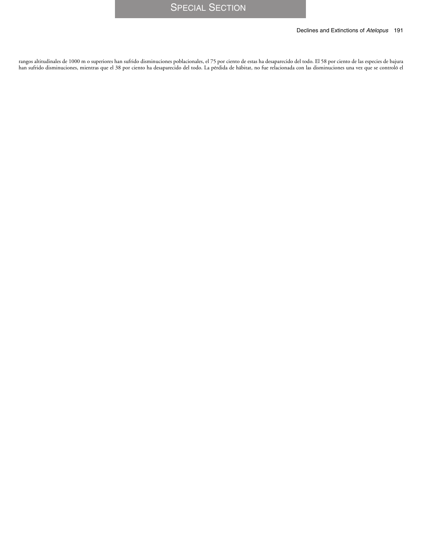rangos altitudinales de 1000 m o superiores han sufrido disminuciones poblacionales, el 75 por ciento de estas ha desaparecido del todo. El 58 por ciento de las especies de bajura han sufrido disminuciones, mientras que el 38 por ciento ha desaparecido del todo. La pérdida de hábitat, no fue relacionada con las disminuciones una vez que se controló el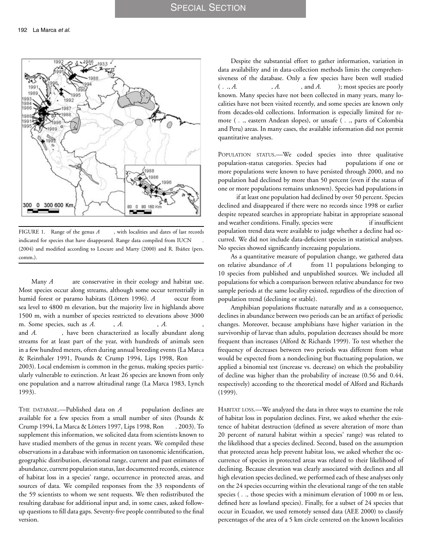

FIGURE 1. Range of the genus *A*, with localities and dates of last records indicated for species that have disappeared. Range data compiled from IUCN (2004) and modified according to Lescure and Marty (2000) and R. Ibáñez (pers. comm.).

Many *A* are conservative in their ecology and habitat use. Most species occur along streams, although some occur terrestrially in humid forest or paramo habitats (Lötters 1996). A occur from sea level to 4800 m elevation, but the majority live in highlands above 1500 m, with a number of species restricted to elevations above 3000 m. Some species, such as *A*. a. b. *A.* chirigman *A.* and *A*. *j*, have been characterized as locally abundant along streams for at least part of the year, with hundreds of animals seen in a few hundred meters, often during annual breeding events (La Marca & Reinthaler 1991, Pounds & Crump 1994, Lips 1998, Ron 2003). Local endemism is common in the genus, making species particularly vulnerable to extinction. At least 26 species are known from only one population and a narrow altitudinal range (La Marca 1983, Lynch 1993).

THE DATABASE.—Published data on *A* population declines are available for a few species from a small number of sites (Pounds & Crump 1994, La Marca & Lotters 1997, Lips 1998, Ron ¨ *et al*. 2003). To supplement this information, we solicited data from scientists known to have studied members of the genus in recent years. We compiled these observations in a database with information on taxonomic identification, geographic distribution, elevational range, current and past estimates of abundance, current population status, last documented records, existence of habitat loss in a species' range, occurrence in protected areas, and sources of data. We compiled responses from the 33 respondents of the 59 scientists to whom we sent requests. We then redistributed the resulting database for additional input and, in some cases, asked followup questions to fill data gaps. Seventy-five people contributed to the final version.

Despite the substantial effort to gather information, variation in data availability and in data-collection methods limits the comprehensiveness of the database. Only a few species have been well studied (*e.g., A.* carbonerensis, A. carbonerensis, A. carbonerensis, A. cruciger, and *A.* carbonersis, A. known. Many species have not been collected in many years, many localities have not been visited recently, and some species are known only from decades-old collections. Information is especially limited for remote ( $\ldots$ , eastern Andean slopes), or unsafe ( $\ldots$ , parts of Colombia and Peru) areas. In many cases, the available information did not permit quantitative analyses.

POPULATION STATUS.—We coded species into three qualitative population-status categories. Species had **populations** if one or more populations were known to have persisted through 2000, and no population had declined by more than 50 percent (even if the status of one or more populations remains unknown). Species had populations in

*if* at least one population had declined by over 50 percent. Species declined and disappeared if there were no records since 1998 or earlier despite repeated searches in appropriate habitat in appropriate seasonal and weather conditions. Finally, species were *definitions* if insufficient population trend data were available to judge whether a decline had occurred. We did not include data-deficient species in statistical analyses. No species showed significantly increasing populations.

As a quantitative measure of population change, we gathered data on relative abundance of *A* from 11 populations belonging to 10 species from published and unpublished sources. We included all populations for which a comparison between relative abundance for two sample periods at the same locality existed, regardless of the direction of population trend (declining or stable).

Amphibian populations fluctuate naturally and as a consequence, declines in abundance between two periods can be an artifact of periodic changes. Moreover, because amphibians have higher variation in the survivorship of larvae than adults, population decreases should be more frequent than increases (Alford & Richards 1999). To test whether the frequency of decreases between two periods was different from what would be expected from a nondeclining but fluctuating population, we applied a binomial test (increase vs. decrease) on which the probability of decline was higher than the probability of increase (0.56 and 0.44, respectively) according to the theoretical model of Alford and Richards (1999).

HABITAT LOSS.—We analyzed the data in three ways to examine the role of habitat loss in population declines. First, we asked whether the existence of habitat destruction (defined as severe alteration of more than 20 percent of natural habitat within a species' range) was related to the likelihood that a species declined. Second, based on the assumption that protected areas help prevent habitat loss, we asked whether the occurrence of species in protected areas was related to their likelihood of declining. Because elevation was clearly associated with declines and all high elevation species declined, we performed each of these analyses only on the 24 species occurring within the elevational range of the ten stable species ( $\ldots$ , those species with a minimum elevation of 1000 m or less, defined here as lowland species). Finally, for a subset of 24 species that occur in Ecuador, we used remotely sensed data (AEE 2000) to classify percentages of the area of a 5 km circle centered on the known localities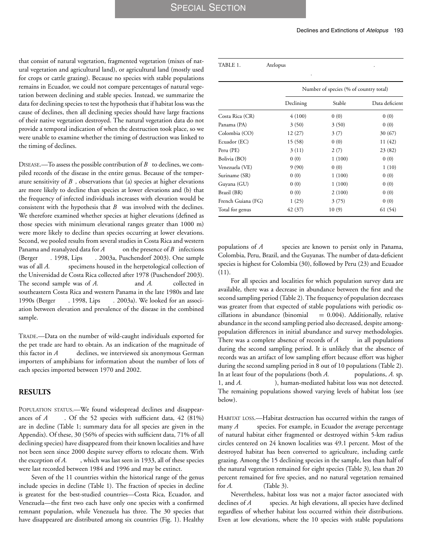that consist of natural vegetation, fragmented vegetation (mixes of natural vegetation and agricultural land), or agricultural land (mostly used for crops or cattle grazing). Because no species with stable populations remains in Ecuador, we could not compare percentages of natural vegetation between declining and stable species. Instead, we summarize the data for declining species to test the hypothesis that if habitat loss was the cause of declines, then all declining species should have large fractions of their native vegetation destroyed. The natural vegetation data do not provide a temporal indication of when the destruction took place, so we were unable to examine whether the timing of destruction was linked to the timing of declines.

DISEASE.—To assess the possible contribution of  $B$  to declines, we compiled records of the disease in the entire genus. Because of the temperature sensitivity of *B*, observations that (a) species at higher elevations are more likely to decline than species at lower elevations and (b) that the frequency of infected individuals increases with elevation would be consistent with the hypothesis that  $B$  was involved with the declines. We therefore examined whether species at higher elevations (defined as those species with minimum elevational ranges greater than 1000 m) were more likely to decline than species occurring at lower elevations. Second, we pooled results from several studies in Costa Rica and western Panama and reanalyzed data for  $A$  on the presence of  $B$  infections (Berger *et al.* 1998, Lips *et al.* 2003a, Puschendorf 2003). One sample was of all *A*. specimens housed in the herpetological collection of the Universidad de Costa Rica collected after 1978 (Puschendorf 2003). The second sample was of *A*. and *A*. collected in southeastern Costa Rica and western Panama in the late 1980s and late 1990s (Berger *et al*. 1998, Lips *et al.* 2003a). We looked for an association between elevation and prevalence of the disease in the combined sample.

TRADE.—Data on the number of wild-caught individuals exported for the pet trade are hard to obtain. As an indication of the magnitude of this factor in *A* declines, we interviewed six anonymous German importers of amphibians for information about the number of lots of each species imported between 1970 and 2002.

#### **RESULTS**

POPULATION STATUS.—We found widespread declines and disappearances of *A* China 52 species with sufficient data, 42 (81%) are in decline (Table 1; summary data for all species are given in the Appendix). Of these, 30 (56% of species with sufficient data, 71% of all declining species) have disappeared from their known localities and have not been seen since 2000 despite survey efforts to relocate them. With the exception of *A*. , which was last seen in 1933, all of these species were last recorded between 1984 and 1996 and may be extinct.

Seven of the 11 countries within the historical range of the genus include species in decline (Table 1). The fraction of species in decline is greatest for the best-studied countries—Costa Rica, Ecuador, and Venezuela—the first two each have only one species with a confirmed remnant population, while Venezuela has three. The 30 species that have disappeared are distributed among six countries (Fig. 1). Healthy

|                    |           | Number of species (% of country total) |                |  |  |  |  |  |
|--------------------|-----------|----------------------------------------|----------------|--|--|--|--|--|
|                    | Declining | Stable                                 | Data deficient |  |  |  |  |  |
| Costa Rica (CR)    | 4(100)    | 0(0)                                   | 0(0)           |  |  |  |  |  |
| Panama (PA)        | 3(50)     | 3(50)                                  | 0(0)           |  |  |  |  |  |
| Colombia (CO)      | 12(27)    | 3(7)                                   | 30 (67)        |  |  |  |  |  |
| Ecuador (EC)       | 15 (58)   | 0(0)                                   | 11 (42)        |  |  |  |  |  |
| Peru (PE)          | 3(11)     | 2(7)                                   | 23 (82)        |  |  |  |  |  |
| Bolivia (BO)       | 0(0)      | 1(100)                                 | 0(0)           |  |  |  |  |  |
| Venezuela (VE)     | 9(90)     | 0(0)                                   | 1(10)          |  |  |  |  |  |
| Suriname (SR)      | 0(0)      | 1(100)                                 | 0(0)           |  |  |  |  |  |
| Guyana (GU)        | 0(0)      | 1(100)                                 | 0(0)           |  |  |  |  |  |
| Brazil (BR)        | 0(0)      | 2(100)                                 | 0(0)           |  |  |  |  |  |
| French Guiana (FG) | 1(25)     | 3(75)                                  | 0(0)           |  |  |  |  |  |
| Total for genus    | 42 (37)   | 10(9)                                  | 61 (54)        |  |  |  |  |  |

TABLE 1. *Status of* Atelopus *species throughout the range of the genus. Some species*

populations of *A* species are known to persist only in Panama, Colombia, Peru, Brazil, and the Guyanas. The number of data-deficient species is highest for Colombia (30), followed by Peru (23) and Ecuador (11).

For all species and localities for which population survey data are available, there was a decrease in abundance between the first and the second sampling period (Table 2). The frequency of population decreases was greater from that expected of stable populations with periodic oscillations in abundance (binomial  $= 0.004$ ). Additionally, relative abundance in the second sampling period also decreased, despite amongpopulation differences in initial abundance and survey methodologies. There was a complete absence of records of *A* in all populations during the second sampling period. It is unlikely that the absence of records was an artifact of low sampling effort because effort was higher during the second sampling period in 8 out of 10 populations (Table 2). In at least four of the populations (both *A*. *populations, A. sp.* 1, and *A*.  $\hspace{1cm}$  ), human-mediated habitat loss was not detected. The remaining populations showed varying levels of habitat loss (see below).

HABITAT LOSS.—Habitat destruction has occurred within the ranges of many *A* species. For example, in Ecuador the average percentage of natural habitat either fragmented or destroyed within 5-km radius circles centered on 24 known localities was 49.1 percent. Most of the destroyed habitat has been converted to agriculture, including cattle grazing. Among the 15 declining species in the sample, less than half of the natural vegetation remained for eight species (Table 3), less than 20 percent remained for five species, and no natural vegetation remained for *A*. (Table 3).

Nevertheless, habitat loss was not a major factor associated with declines of *A* species. At high elevations, all species have declined regardless of whether habitat loss occurred within their distributions. Even at low elevations, where the 10 species with stable populations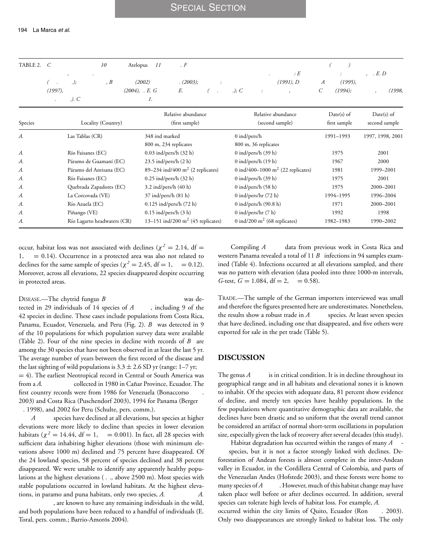| TABLE 2. $C$ |                             |              | 10  | Atelopus 11              | $\cdot$ F |                         |               |         |                                                                                                                                                                                                                                                                                                                                                                                                                                                           |       |                 |        |        |
|--------------|-----------------------------|--------------|-----|--------------------------|-----------|-------------------------|---------------|---------|-----------------------------------------------------------------------------------------------------------------------------------------------------------------------------------------------------------------------------------------------------------------------------------------------------------------------------------------------------------------------------------------------------------------------------------------------------------|-------|-----------------|--------|--------|
|              |                             |              |     |                          |           |                         |               |         | $\cdot E$                                                                                                                                                                                                                                                                                                                                                                                                                                                 |       | <b>Contract</b> | . E. D |        |
|              | $\mathcal{F} = \mathcal{F}$ | $\cdot$ ;    | , B | (2002)                   | (2003);   |                         | $\mathcal{L}$ |         | (1991), D                                                                                                                                                                                                                                                                                                                                                                                                                                                 | A     | $(1995)$ ,      |        |        |
|              | (1997),                     |              |     | $(2004)$ , <i>. E.</i> G | E.        | and the contract of the |               | .); $C$ | $\mathcal{L}^{\mathcal{L}}(\mathcal{L}^{\mathcal{L}}(\mathcal{L}^{\mathcal{L}}(\mathcal{L}^{\mathcal{L}}(\mathcal{L}^{\mathcal{L}}(\mathcal{L}^{\mathcal{L}}(\mathcal{L}^{\mathcal{L}}(\mathcal{L}^{\mathcal{L}}(\mathcal{L}^{\mathcal{L}}(\mathcal{L}^{\mathcal{L}}(\mathcal{L}^{\mathcal{L}}(\mathcal{L}^{\mathcal{L}}(\mathcal{L}^{\mathcal{L}}(\mathcal{L}^{\mathcal{L}}(\mathcal{L}^{\mathcal{L}}(\mathcal{L}^{\mathcal{L}}(\mathcal{L}^{\mathcal{L$ | $C$ – | $(1994)$ ;      |        | (1998, |
|              |                             | . <i>. .</i> |     | . .                      |           |                         |               |         |                                                                                                                                                                                                                                                                                                                                                                                                                                                           |       |                 |        |        |

| Species | Locality (Country)          | Relative abundance<br>(first sample)          | Relative abundance<br>(second sample)         | $Date(s)$ of<br>first sample | $Date(s)$ of<br>second sample |
|---------|-----------------------------|-----------------------------------------------|-----------------------------------------------|------------------------------|-------------------------------|
| $A$ .   | Las Tablas (CR)             | 348 ind marked                                | $0$ ind/pers/h                                | 1991-1993                    | 1997, 1998, 2001              |
|         |                             | 800 m, 234 replicates                         | 800 m, 36 replicates                          |                              |                               |
| $A$ .   | Río Faisanes (EC)           | $0.03$ ind/pers/h $(32 h)$                    | $0$ ind/pers/h $(39 h)$                       | 1975                         | 2001                          |
| A.      | Páramo de Guamaní (EC)      | $23.5$ ind/pers/h $(2 h)$                     | $0$ ind/pers/h $(19 h)$                       | 1967                         | 2000                          |
| $A$ .   | Páramo del Antisana (EC)    | 89–234 ind/400 m <sup>2</sup> (2 replicates)  | 0 ind/400-1000 m <sup>2</sup> (22 replicates) | 1981                         | 1999-2001                     |
| A.      | Río Faisanes (EC)           | $0.25$ ind/pers/h $(32 h)$                    | $0$ ind/pers/h $(39 h)$                       | 1975                         | 2001                          |
| A.      | Quebrada Zapadores (EC)     | $3.2$ ind/pers/h $(40 h)$                     | $0$ ind/pers/h $(58 h)$                       | 1975                         | 2000-2001                     |
| A.      | La Corcovada (VE)           | $37$ ind/pers/h $(81 h)$                      | 0 ind/pers/hr $(72 h)$                        | 1994-1995                    | 1996-2004                     |
| A.      | Río Azuela (EC)             | $0.125$ ind/pers/h (72 h)                     | 0 ind/pers/h (90.8 h)                         | 1971                         | 2000-2001                     |
| A.      | Piñango (VE)                | $0.15$ ind/pers/h $(3 h)$                     | 0 ind/pers/hr $(7 h)$                         | 1992                         | 1998                          |
| A.      | Río Lagarto headwaters (CR) | 13–151 ind/200 m <sup>2</sup> (45 replicates) | 0 ind/200 $m2$ (68 replicates)                | 1982-1983                    | 1990-2002                     |

occur, habitat loss was not associated with declines ( $\chi^2 = 2.14$ , df = 1, = 0.14). Occurrence in a protected area was also not related to  $= 0.14$ ). Occurrence in a protected area was also not related to declines for the same sample of species ( $\chi^2 = 2.45$ , df = 1, = 0.12). Moreover, across all elevations, 22 species disappeared despite occurring in protected areas.

DISEASE.—The chytrid fungus *B* was detected in 29 individuals of 14 species of *A*, including 9 of the 42 species in decline. These cases include populations from Costa Rica, Panama, Ecuador, Venezuela, and Peru (Fig. 2). *B* was detected in 9 of the 10 populations for which population survey data were available (Table 2). Four of the nine species in decline with records of  $B$  are among the 30 species that have not been observed in at least the last 5 yr. The average number of years between the first record of the disease and the last sighting of wild populations is  $3.3 \pm 2.6$  SD yr (range: 1–7 yr;  $= 4$ ). The earliest Neotropical record in Central or South America was from a  $A$ . collected in 1980 in Cañar Province, Ecuador. The collected in 1980 in Cañar Province, Ecuador. The first country records were from 1986 for Venezuela (Bonaccorso 2003) and Costa Rica (Puschendorf 2003), 1994 for Panama (Berger *al.* 1998), and 2002 for Peru (Schulte, pers. comm.).

*A* species have declined at all elevations, but species at higher elevations were more likely to decline than species in lower elevation habitats ( $\chi^2 = 14.44$ , df = 1, = 0.001). In fact, all 28 species with sufficient data inhabiting higher elevations (those with minimum elevations above 1000 m) declined and 75 percent have disappeared. Of the 24 lowland species, 58 percent of species declined and 38 percent disappeared. We were unable to identify any apparently healthy populations at the highest elevations ( $\ldots$ , above 2500 m). Most species with stable populations occurred in lowland habitats. At the highest elevations, in paramo and puna habitats, only two species, *A*.  $A$ .

*mucubajiensis*, are known to have any remaining individuals in the wild, and both populations have been reduced to a handful of individuals (E. Toral, pers. comm.; Barrio-Amorós 2004).

Compiling *A* data from previous work in Costa Rica and western Panama revealed a total of 11 *B* infections in 94 samples examined (Table 4). Infections occurred at all elevations sampled, and there was no pattern with elevation (data pooled into three 1000-m intervals, *G*-test,  $G = 1.084$ ,  $df = 2$ ,  $= 0.58$ .

TRADE.—The sample of the German importers interviewed was small and therefore the figures presented here are underestimates. Nonetheless, the results show a robust trade in  $A$  species. At least seven species that have declined, including one that disappeared, and five others were exported for sale in the pet trade (Table 5).

#### **DISCUSSION**

The genus  $A$  is in critical condition. It is in decline throughout its geographical range and in all habitats and elevational zones it is known to inhabit. Of the species with adequate data, 81 percent show evidence of decline, and merely ten species have healthy populations. In the few populations where quantitative demographic data are available, the declines have been drastic and so uniform that the overall trend cannot be considered an artifact of normal short-term oscillations in population size, especially given the lack of recovery after several decades (this study).

Habitat degradation has occurred within the ranges of many A

species, but it is not a factor strongly linked with declines. Deforestation of Andean forests is almost complete in the inter-Andean valley in Ecuador, in the Cordillera Central of Colombia, and parts of the Venezuelan Andes (Hofstede 2003), and these forests were home to many species of *A* However, much of this habitat change may have taken place well before or after declines occurred. In addition, several species can tolerate high levels of habitat loss. For example, A.

occurred within the city limits of Quito, Ecuador (Ron *et al.* 2003). Only two disappearances are strongly linked to habitat loss. The only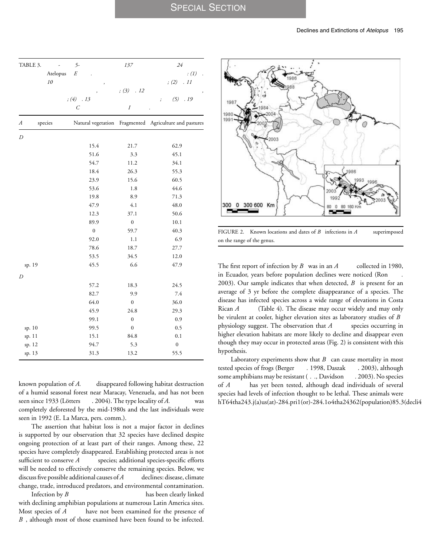| TABLE 3.     | $5-$                  | 137              | 24                                                     |
|--------------|-----------------------|------------------|--------------------------------------------------------|
| Atelopus     | $\cal E$              |                  | $\colon$ (1)                                           |
| $10$         | J                     |                  | .11<br>$\left( 2\right)$                               |
|              |                       | ; $(3)$<br>.12   |                                                        |
|              | $(4)$ . 13            |                  | (5)<br>.19<br>$\cdot$                                  |
|              | $\mathcal{C}_{0}^{2}$ | $\boldsymbol{I}$ |                                                        |
| А<br>species |                       |                  | Natural vegetation Fragmented Agriculture and pastures |
| D            |                       |                  |                                                        |
|              | 15.4                  | 21.7             | 62.9                                                   |
|              | 51.6                  | 3.3              | 45.1                                                   |
|              | 54.7                  | 11.2             | 34.1                                                   |
|              | 18.4                  | 26.3             | 55.3                                                   |
|              | 23.9                  | 15.6             | 60.5                                                   |
|              | 53.6                  | 1.8              | 44.6                                                   |
|              | 19.8                  | 8.9              | 71.3                                                   |
|              | 47.9                  | 4.1              | 48.0                                                   |
|              | 12.3                  | 37.1             | 50.6                                                   |
|              | 89.9                  | $\boldsymbol{0}$ | 10.1                                                   |
|              | $\boldsymbol{0}$      | 59.7             | 40.3                                                   |
|              | 92.0                  | 1.1              | 6.9                                                    |
|              | 78.6                  | 18.7             | 27.7                                                   |
|              | 53.5                  | 34.5             | 12.0                                                   |
| sp. 19       | 45.5                  | 6.6              | 47.9                                                   |
| D            |                       |                  |                                                        |
|              | 57.2                  | 18.3             | 24.5                                                   |
|              | 82.7                  | 9.9              | 7.4                                                    |
|              | 64.0                  | $\boldsymbol{0}$ | 36.0                                                   |
|              | 45.9                  | 24.8             | 29.3                                                   |
|              | 99.1                  | $\boldsymbol{0}$ | 0.9                                                    |
| sp. 10       | 99.5                  | $\boldsymbol{0}$ | 0.5                                                    |
| sp. 11       | 15.1                  | 84.8             | $0.1\,$                                                |
| sp. 12       | 94.7                  | 5.3              | $\boldsymbol{0}$                                       |
| sp. 13       | 31.3                  | 13.2             | 55.5                                                   |

known population of *A*. disappeared following habitat destruction of a humid seasonal forest near Maracay, Venezuela, and has not been seen since 1933 (Lötters . 2004). The type locality of *A*. was completely deforested by the mid-1980s and the last individuals were seen in 1992 (E. La Marca, pers. comm.).

The assertion that habitat loss is not a major factor in declines is supported by our observation that 32 species have declined despite ongoing protection of at least part of their ranges. Among these, 22 species have completely disappeared. Establishing protected areas is not sufficient to conserve *A* species; additional species-specific efforts will be needed to effectively conserve the remaining species. Below, we discuss five possible additional causes of *A* declines: disease, climate change, trade, introduced predators, and environmental contamination. Infection by *B* has been clearly linked

with declining amphibian populations at numerous Latin America sites. Most species of *A* have not been examined for the presence of *B*, although most of those examined have been found to be infected.



FIGURE 2. Known locations and dates of  $B$  infections in  $A$  superimposed on the range of the genus.

The first report of infection by  $B$  was in an  $A$  collected in 1980, in Ecuador, years before population declines were noticed (Ron 2003). Our sample indicates that when detected,  $B$  is present for an average of 3 yr before the complete disappearance of a species. The disease has infected species across a wide range of elevations in Costa Rican *A* (Table 4). The disease may occur widely and may only be virulent at cooler, higher elevation sites as laboratory studies of *B* physiology suggest. The observation that *A* species occurring in higher elevation habitats are more likely to decline and disappear even though they may occur in protected areas (Fig. 2) is consistent with this hypothesis.

Laboratory experiments show that  $B$  can cause mortality in most tested species of frogs (Berger *et al. 1998*, Daszak *et al. 2003*), although some amphibians may be resistant ( . ., Davidson *et al. 2003*). No species of *A* has yet been tested, although dead individuals of several species had levels of infection thought to be lethal. These animals were hT64tha243.j(a)us(at)-284.pri1(or)-284.1o4tha24362(population)85.3(decli4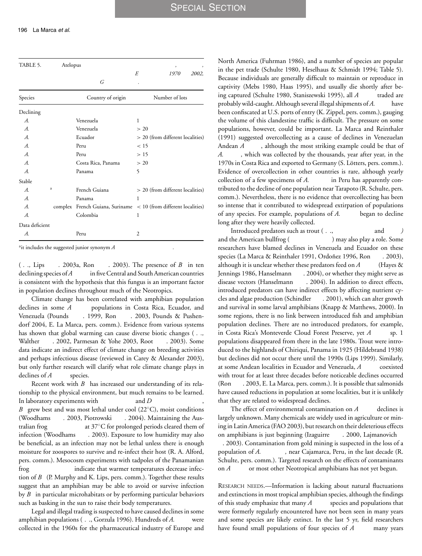| TABLE 5.        | Atelopus |                                                                                  |      | ,                                |
|-----------------|----------|----------------------------------------------------------------------------------|------|----------------------------------|
|                 |          | G                                                                                | E    | 1970<br>2002,                    |
| Species         |          | Country of origin                                                                |      | Number of lots                   |
| Declining       |          |                                                                                  |      |                                  |
| A.              |          | Venezuela                                                                        | 1    |                                  |
| А.              |          | Venezuela                                                                        | > 20 |                                  |
| $\mathcal{A}$ . |          | Ecuador                                                                          |      | > 20 (from different localities) |
| $\mathcal{A}$ . |          | Peru                                                                             | < 15 |                                  |
| $\mathcal{A}$ . |          | Peru                                                                             | >15  |                                  |
| А.              |          | Costa Rica, Panama                                                               | > 20 |                                  |
| А.              |          | Panama                                                                           | 5    |                                  |
| Stable          |          |                                                                                  |      |                                  |
| A.              | a        | French Guiana                                                                    |      | > 20 (from different localities) |
| $\mathcal{A}$ . |          | Panama                                                                           | 1    |                                  |
| А.              |          | complex French Guiana, Suriname $\langle 10 \rangle$ (from different localities) |      |                                  |
| А.              |          | Colombia                                                                         | 1    |                                  |
| Data deficient  |          |                                                                                  |      |                                  |
| $\mathcal{A}$ . |          | Peru                                                                             | 2    |                                  |

<sup>a</sup>it includes the suggested junior synonym *A* 

(*e.g.,* Lips *et al.* 2003a, Ron *et al*. 2003). The presence of *Bd* in ten declining species of *A* in five Central and South American countries is consistent with the hypothesis that this fungus is an important factor in population declines throughout much of the Neotropics.

Climate change has been correlated with amphibian population declines in some *A* populations in Costa Rica, Ecuador, and Venezuela (Pounds . 1999, Ron . 2003, Pounds & Pushendorf 2004, E. La Marca, pers. comm.). Evidence from various systems has shown that global warming can cause diverse biotic changes ( $\dots$ Walther *et al*. 2002, Parmesan & Yohe 2003, Root *et al*. 2003). Some data indicate an indirect effect of climate change on breeding activities and perhaps infectious disease (reviewed in Carey & Alexander 2003), but only further research will clarify what role climate change plays in declines of *A* species.

Recent work with *B* has increased our understanding of its relationship to the physical environment, but much remains to be learned. In laboratory experiments with *and D B* grew best and was most lethal under cool (22°C), moist conditions (Woodhams . 2003, Piotrowski . 2004). Maintaining the Australian frog *Litoria chara characteria characteria chem ch* at 37°C for prolonged periods cleared them of infection (Woodhams . 2003). Exposure to low humidity may also be beneficial, as an infection may not be lethal unless there is enough moisture for zoospores to survive and re-infect their host (R. A. Alford, pers. comm.). Mesocosm experiments with tadpoles of the Panamanian frog **Smith-** indicate that warmer temperatures decrease infection of *B* (P. Murphy and K. Lips, pers. comm.). Together these results suggest that an amphibian may be able to avoid or survive infection by *B* in particular microhabitats or by performing particular behaviors such as basking in the sun to raise their body temperatures.

Legal and illegal trading is suspected to have caused declines in some amphibian populations ( $\ldots$ , Gorzula 1996). Hundreds of *A*. *zetekion* collected in the 1960s for the pharmaceutical industry of Europe and North America (Fuhrman 1986), and a number of species are popular in the pet trade (Schulte 1980, Heselhaus & Schmidt 1994; Table 5). Because individuals are generally difficult to maintain or reproduce in captivity (Mebs 1980, Haas 1995), and usually die shortly after being captured (Schulte 1980, Staniszewski 1995), all *A* traded are probably wild-caught. Although several illegal shipments of *A*. have been confiscated at U.S. ports of entry (K. Zippel, pers. comm.), gauging the volume of this clandestine traffic is difficult. The pressure on some populations, however, could be important. La Marca and Reinthaler (1991) suggested overcollecting as a cause of declines in Venezuelan Andean *A*, although the most striking example could be that of *A. varius,* which was collected by the thousands, year after year, in the 1970s in Costa Rica and exported to Germany (S. Lötters, pers. comm.). Evidence of overcollection in other countries is rare, although yearly collection of a few specimens of *A*. *in Peru has apparently con*tributed to the decline of one population near Tarapoto (R. Schulte, pers. comm.). Nevertheless, there is no evidence that overcollecting has been so intense that it contributed to widespread extirpation of populations of any species. For example, populations of *A*. began to decline long after they were heavily collected.

Introduced predators such as trout ( $\dots$ , **Onchorhynchus** and *Salmond* and the American bullfrog (*Rana categoriana)* may also play a role. Some researchers have blamed declines in Venezuela and Ecuador on these species (La Marca & Reinthaler 1991, Ordoñez 1996, Ron . 2003), although it is unclear whether these predators feed on  $A$  (Hayes  $\&$ Jennings 1986, Hanselmann . 2004), or whether they might serve as disease vectors (Hanselmann . 2004). In addition to direct effects, introduced predators can have indirect effects by affecting nutrient cycles and algae production (Schindler *et al. 2001*), which can alter growth and survival in some larval amphibians (Knapp & Matthews, 2000). In some regions, there is no link between introduced fish and amphibian population declines. There are no introduced predators, for example, in Costa Rica's Monteverde Cloud Forest Preserve, yet *A* sp. 1 populations disappeared from there in the late 1980s. Trout were introduced to the highlands of Chiriquí, Panama in 1925 (Hildebrand 1938) but declines did not occur there until the 1990s (Lips 1999). Similarly, at some Andean localities in Ecuador and Venezuela, *A* coexisted with trout for at least three decades before noticeable declines occurred (Ron *et al. 2003, E. La Marca, pers. comm.).* It is possible that salmonids have caused reductions in population at some localities, but it is unlikely that they are related to widespread declines.

The effect of environmental contamination on *A* declines is largely unknown. Many chemicals are widely used in agriculture or mining in Latin America (FAO 2003), but research on their deleterious effects on amphibians is just beginning (Izaguirre *et al*. 2000, Lajmanovich *et*

*al*. 2003). Contamination from gold mining is suspected in the loss of a population of *A*. ear Cajamarca, Peru, in the last decade (R. Schulte, pers. comm.). Targeted research on the effects of contaminants on *A* or most other Neotropical amphibians has not yet begun.

RESEARCH NEEDS.—Information is lacking about natural fluctuations and extinctions in most tropical amphibian species, although the findings of this study emphasize that many *A* species and populations that were formerly regularly encountered have not been seen in many years and some species are likely extinct. In the last 5 yr, field researchers have found small populations of four species of *A* many years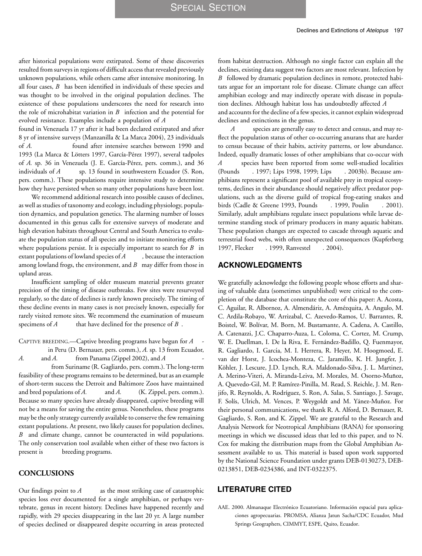after historical populations were extirpated. Some of these discoveries resulted from surveys in regions of difficult access that revealed previously unknown populations, while others came after intensive monitoring. In all four cases,  $B$  has been identified in individuals of these species and was thought to be involved in the original population declines. The existence of these populations underscores the need for research into the role of microhabitat variation in  $B$  infection and the potential for evolved resistance. Examples include a population of *A* 

found in Venezuela 17 yr after it had been declared extirpated and after 8 yr of intensive surveys (Manzanilla & La Marca 2004), 23 individuals of *A*. **hunch** found after intensive searches between 1990 and 1993 (La Marca & Lötters 1997, García-Pérez 1997), several tadpoles of *A.* sp. 36 in Venezuela (J. E. García-Pérez, pers. comm.), and 36 individuals of *A* sp. 13 found in southwestern Ecuador (S. Ron, pers. comm.). These populations require intensive study to determine how they have persisted when so many other populations have been lost.

We recommend additional research into possible causes of declines, as well as studies of taxonomy and ecology, including physiology, population dynamics, and population genetics. The alarming number of losses documented in this genus calls for extensive surveys of moderate and high elevation habitats throughout Central and South America to evaluate the population status of all species and to initiate monitoring efforts where populations persist. It is especially important to search for  $B$  in extant populations of lowland species of *A*, because the interaction among lowland frogs, the environment, and  $B$  may differ from those in upland areas.

Insufficient sampling of older museum material prevents greater precision of the timing of disease outbreaks. Few sites were resurveyed regularly, so the date of declines is rarely known precisely. The timing of these decline events in many cases is not precisely known, especially for rarely visited remote sites. We recommend the examination of museum specimens of  $A$  that have declined for the presence of  $B$ .

CAPTIVE BREEDING. - Captive breeding programs have begun for *A* in Peru (D. Bernauer, pers. comm.), *A.* sp. 13 from Ecuador, *A.* and *A.* from Panama (Zippel 2002), and *A* 

*ius sensu lato* from Suriname (R. Gagliardo, pers. comm.). The long-term feasibility of these programs remains to be determined, but as an example of short-term success the Detroit and Baltimore Zoos have maintained and bred populations of *A*. and *A*. (K. Zippel, pers. comm.). Because so many species have already disappeared, captive breeding will not be a means for saving the entire genus. Nonetheless, these programs may be the only strategy currently available to conserve the few remaining extant populations. At present, two likely causes for population declines, *B* and climate change, cannot be counteracted in wild populations. The only conservation tool available when either of these two factors is present is **breeding programs.** 

#### **CONCLUSIONS**

Our findings point to *A* as the most striking case of catastrophic species loss ever documented for a single amphibian, or perhaps vertebrate, genus in recent history. Declines have happened recently and rapidly, with 29 species disappearing in the last 20 yr. A large number of species declined or disappeared despite occurring in areas protected from habitat destruction. Although no single factor can explain all the declines, existing data suggest two factors are most relevant. Infection by *B* followed by dramatic population declines in remote, protected habitats argue for an important role for disease. Climate change can affect amphibian ecology and may indirectly operate with disease in population declines. Although habitat loss has undoubtedly affected *A* 

and accounts for the decline of a few species, it cannot explain widespread declines and extinctions in the genus.

*A* species are generally easy to detect and census, and may reflect the population status of other co-occurring anurans that are harder to census because of their habits, activity patterns, or low abundance. Indeed, equally dramatic losses of other amphibians that co-occur with *A* species have been reported from some well-studied localities (Pounds . 1997; Lips 1998, 1999; Lips . 2003b). Because amphibians represent a significant pool of available prey in tropical ecosystems, declines in their abundance should negatively affect predator populations, such as the diverse guild of tropical frog-eating snakes and birds (Cadle & Greene 1993, Pounds *et al. 1999*, Poulin *et al. 2001*). Similarly, adult amphibians regulate insect populations while larvae determine standing stock of primary producers in many aquatic habitats. These population changes are expected to cascade through aquatic and terrestrial food webs, with often unexpected consequences (Kupferberg 1997, Flecker *a.* 1999, Ranvestel *a.* 2004).

#### **ACKNOWLEDGMENTS**

We gratefully acknowledge the following people whose efforts and sharing of valuable data (sometimes unpublished) were critical to the completion of the database that constitute the core of this paper: A. Acosta, C. Aguilar, R. Albornoz, A. Almendáriz, A. Amézquita, A. Angulo, M. C. Ardila-Robayo, W. Arrizabal, C. Azevedo-Ramos, U. Barrantes, R. Boistel, W. Bolívar, M. Born, M. Bustamante, A. Cadena, A. Castillo, A. Catenazzi, J.C. Chaparro-Auza, L. Coloma, C. Cortez, M. Crump, W. E. Duellman, I. De la Riva, E. Fernández-Badillo, Q. Fuenmayor, R. Gagliardo, I. García, M. I. Herrera, R. Heyer, M. Hoogmoed, E. van der Horst, J. Icochea-Monteza, C. Jaramillo, K. H. Jungfer, J. Köhler, J. Lescure, J.D. Lynch, R.A. Maldonado-Silva, J. L. Martinez, A. Merino-Viteri, A. Miranda-Leiva, M. Morales, M. Osorno-Muñoz, A. Quevedo-Gil, M. P. Ramírez-Pinilla, M. Read, S. Reichle, J. M. Renjifo, R. Reynolds, A. Rodríguez, S. Ron, A. Salas, S. Santiago, J. Savage, F. Solís, Ulrich, M. Vences, P. Weygoldt and M. Yánez-Muñoz. For their personal communications, we thank R. A. Alford, D. Bernauer, R. Gagliardo, S. Ron, and K. Zippel. We are grateful to the Research and Analysis Network for Neotropical Amphibians (RANA) for sponsoring meetings in which we discussed ideas that led to this paper, and to N. Cox for making the distribution maps from the Global Amphibian Assessment available to us. This material is based upon work supported by the National Science Foundation under grants DEB-0130273, DEB-0213851, DEB-0234386, and INT-0322375.

#### **LITERATURE CITED**

AAE. 2000. Almanaque Electrónico Ecuatoriano. Información espacial para aplicaciones agropecuarias. PROMSA, Alianza Jatun Sacha/CDC Ecuador, Mud Springs Geographers, CIMMYT, ESPE, Quito, Ecuador.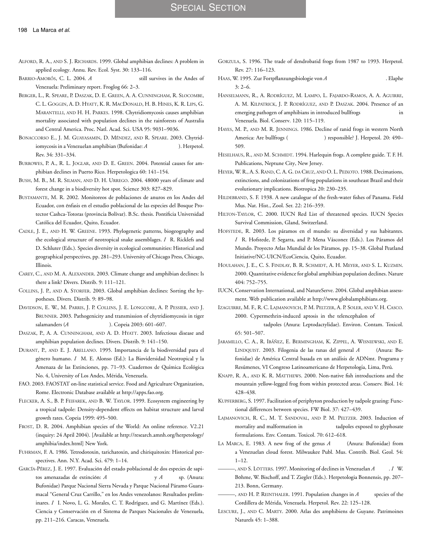# SPECIAL SECTION

- ALFORD, R. A., AND S. J. RICHARDS. 1999. Global amphibian declines: A problem in applied ecology. Annu. Rev. Ecol. Syst. 30: 133–116.
- BARRIO-AMORÓS, C. L. 2004. *A* still survives in the Andes of Venezuela: Preliminary report. Froglog 66: 2–3.
- BERGER, L., R. SPEARE, P. DASZAK, D. E. GREEN, A. A. CUNNINGHAM, R. SLOCOMBE, C. L. GOGGIN, A. D. HYATT, K. R. MACDONALD, H. B. HINES, K. R. LIPS, G. MARANTELLI, AND H. H. PARKES. 1998. Chytridiomycosis causes amphibian mortality associated with population declines in the rainforests of Australia and Central America. Proc. Natl. Acad. Sci. USA 95: 9031–9036.
- BONACCORSO E., J. M. GUAYASAMIN, D. MÉNDEZ, AND R. SPEARE. 2003. Chytridiomycosis in a Venezuelan amphibian (Bufonidae: *A* ). Herpetol. Rev. 34: 331–334.
- BURROWES, P. A., R. L. JOGLAR, AND D. E. GREEN. 2004. Potential causes for amphibian declines in Puerto Rico. Herpetologica 60: 141–154.
- BUSH, M. B., M. R. SILMAN, AND D. H. URREGO. 2004. 48000 years of climate and forest change in a biodiversity hot spot. Science 303: 827–829.
- BUSTAMANTE, M. R. 2002. Monitoreos de poblaciones de anuros en los Andes del Ecuador, con enfasis en el estudio poblacional de las especies del Bosque Pro- ´ tector Cashca-Totoras (provincia Bolívar). B.Sc. thesis. Pontificia Universidad Catolica del Ecuador, Quito, Ecuador. ´
- CADLE, J. E., AND H. W. GREENE. 1993. Phylogenetic patterns, biogeography and the ecological structure of neotropical snake assemblages. *I* R. Ricklefs and D. Schluter (Eds.). Species diversity in ecological communities: Historical and geographical perspectives, pp. 281–293. University of Chicago Press, Chicago, Illinois.
- CAREY, C., AND M. A. ALEXANDER. 2003. Climate change and amphibian declines: Is there a link? Divers. Distrib. 9: 111–121.
- COLLINS, J. P., AND A. STORFER. 2003. Global amphibian declines: Sorting the hypotheses. Divers. Distrib. 9: 89–98.
- DAVIDSON, E. W., M. PARRIS, J. P. COLLINS, J. E. LONGCORE, A. P. PESSIER, AND J. BRUNNER. 2003. Pathogenicity and transmission of chytridiomycosis in tiger salamanders (*A*  $\qquad \qquad$  ). Copeia 2003: 601–607.
- DASZAK, P., A. A. CUNNINGHAM, AND A. D. HYATT. 2003. Infectious disease and amphibian population declines. Divers. Distrib. 9: 141–150.
- DURANT, P., AND E. J. ARELLANO. 1995. Importancia de la biodiversidad para el género humano. *I M. E. Alonso (Ed.)*: La Biovidersidad Neotropical y la Amenaza de las Extinciones, pp. 71-93. Cuadernos de Química Ecológica No. 4, University of Los Andes, Mérida, Venezuela.
- FAO. 2003. FAOSTAT on-line statistical service. Food and Agriculture Organization, Rome. Electronic Database available at http://apps.fao.org.
- FLECKER, A. S., B. P. FEIFAREK, AND B. W. TAYLOR. 1999. Ecosystem engineering by a tropical tadpole: Density-dependent effects on habitat structure and larval growth rates. Copeia 1999: 495–500.
- FROST, D. R. 2004. Amphibian species of the World: An online reference. V2.21 (inquiry: 24 April 2004). [Available at http://research.amnh.org/herpetology/ amphibia/index.html] New York.
- FUHRMAN, F. A. 1986. Tetrodotoxin, tarichatoxin, and chiriquitoxin: Historical perspectives. Ann. N.Y. Acad. Sci. 479: 1–14.
- GARCÍA-PÉREZ, J. E. 1997. Evaluación del estado poblacional de dos especies de sapitos amenazadas de extinción: *A*<sup>y</sup> *A*<sup>sp. (Anura:</sup> Bufonidae) Parque Nacional Sierra Nevada y Parque Nacional Páramo Guaramacal "General Cruz Carrillo," en los Andes venezolanos: Resultados preliminares. *I* I. Novo, L. G. Morales, C. T. Rodríguez, and G. Martínez (Eds.). Ciencia y Conservación en el Sistema de Parques Nacionales de Venezuela, pp. 211–216. Caracas, Venezuela.
- GORZULA, S. 1996. The trade of dendrobatid frogs from 1987 to 1993. Herpetol. Rev. 27: 116–123.
- HAAS, W. 1995. Zur Fortpflanzungsbiologie von *A* Flaphe 3: 2–6.
- HANSELMANN, R., A. RODRÍGUEZ, M. LAMPO, L. FAJARDO-RAMOS, A. A. AGUIRRE, A. M. KILPATRICK, J. P. RODRÍGUEZ, AND P. DASZAK. 2004. Presence of an emerging pathogen of amphibians in introduced bullfrogs Venezuela. Biol. Conserv. 120: 115–119.
- HAYES, M. P., AND M. R. JENNINGS. 1986. Decline of ranid frogs in western North America: Are bullfrogs (*Rana categoriana)* responsible? J. Herpetol. 20: 490– 509.
- HESELHAUS, R., AND M. SCHMIDT. 1994. Harlequin frogs. A complete guide. T. F. H. Publications, Neptune City, New Jersey.
- HEYER, W. R., A. S. RAND, C. A. G. DACRUZ, AND O. L. PEIXOTO. 1988. Decimations, extinctions, and colonizations of frog populations in southeast Brazil and their evolutionary implications. Biotropica 20: 230–235.
- HILDEBRAND, S. F. 1938. A new catalogue of the fresh-water fishes of Panama. Field Mus. Nat. Hist., Zool. Ser. 22: 216–359.
- HILTON-TAYLOR, C. 2000. IUCN Red List of threatened species. IUCN Species Survival Commission, Gland, Switzerland.
- HOFSTEDE, R. 2003. Los páramos en el mundo: su diversidad y sus habitantes. *I* R. Hofstede, P. Segarra, and P. Mena Vásconez (Eds.). Los Páramos del Mundo. Proyecto Atlas Mundial de los Páramos, pp. 15-38. Global Peatland Initiative/NC-UICN/EcoCiencia, Quito, Ecuador.
- HOULAHAN, J. E., C. S. FINDLAY, B. R. SCHMIDT, A. H. MEYER, AND S. L. KUZMIN. 2000. Quantitative evidence for global amphibian population declines. Nature 404: 752–755.
- IUCN, Conservation International, and NatureServe. 2004. Global amphibian assessment. Web publication available at http://www.globalamphibians.org.
- IZAGUIRRE, M. F., R. C. LAJMANOVICH, P. M. PELTZER, A. P. SOLER, AND V. H. CASCO. 2000. Cypermethrin-induced aptosis in the telencephalon of

tadpoles (Anura: Leptodactylidae). Environ. Contam. Toxicol. 65: 501–507.

- JARAMILLO, C. A., R. IBÁÑEZ, E. BERMINGHAM, K. ZIPPEL, A. WISNIEWSKI, AND E. LINDQUIST. 2003. Filogenia de las ranas del general *A* (Anura: Bufonidae) de América Central basada en un análisis de ADNmt. Programa y Resúmenes, VI Congreso Latinoamericano de Herpetología, Lima, Perú.
- KNAPP, R. A., AND K. R. MATTHEWS. 2000. Non-native fish introductions and the mountain yellow-legged frog from within protected areas. Conserv. Biol. 14: 428–438.
- KUPFERBERG, S. 1997. Facilitation of periphyton production by tadpole grazing: Functional differences between species. FW Biol. 37: 427–439.
- LAJMANOVICH, R. C., M. T. SANDOVAL, AND P. M. PELTZER. 2003. Induction of mortality and malformation in **Scinax in** tadpoles exposed to glyphosate formulations. Env. Contam. Toxicol. 70: 612–618.
- LA MARCA, E. 1983. A new frog of the genus *A* (Anura: Bufonidae) from a Venezuelan cloud forest. Milwaukee Publ. Mus. Contrib. Biol. Geol. 54:  $1 - 12$ .
- ———, AND S. LOTTERS ¨ . 1997. Monitoring of declines in Venezuelan *Atelopus*. *In* W. Böhme, W. Bischoff, and T. Ziegler (Eds.). Herpetologia Bonnensis, pp. 207– 213. Bonn, Germany.
- ———, AND H. P. REINTHALER. 1991. Population changes in *Atelopus* species of the Cordillera de Merida, Venezuela. Herpetol. Rev. 22: 125–128. ´
- LESCURE, J., AND C. MARTY. 2000. Atlas des amphibiens de Guyane. Patrimoines Naturels 45: 1–388.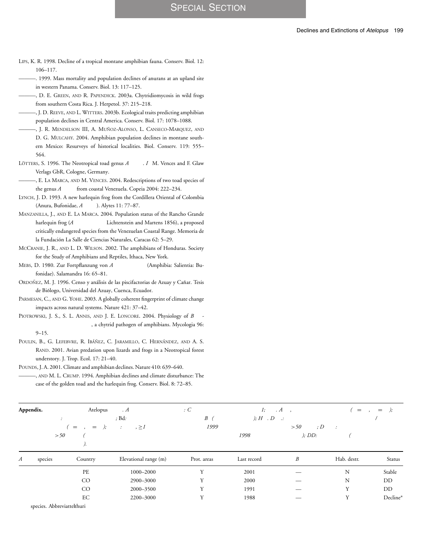# SPECIAL SECTION

- LIPS, K. R. 1998. Decline of a tropical montane amphibian fauna. Conserv. Biol. 12: 106–117.
- ———. 1999. Mass mortality and population declines of anurans at an upland site in western Panama. Conserv. Biol. 13: 117–125.
- ———, D. E. GREEN, AND R. PAPENDICK. 2003a. Chytridiomycosis in wild frogs from southern Costa Rica. J. Herpetol. 37: 215–218.
- ———, J. D. REEVE, AND L. WITTERS. 2003b. Ecological traits predicting amphibian population declines in Central America. Conserv. Biol. 17: 1078–1088.
- ———, J. R. MENDELSON III, A. MUNOZ ˜ -ALONSO, L. CANSECO-MARQUEZ, AND D. G. MULCAHY. 2004. Amphibian population declines in montane southern Mexico: Resurveys of historical localities. Biol. Conserv. 119: 555– 564.
- LÖTTERS, S. 1996. The Neotropical toad genus  $A$ . *I* M. Vences and F. Glaw Verlags GbR, Cologne, Germany.
- ———, E. LA MARCA, AND M. VENCES. 2004. Redescriptions of two toad species of the genus *A* from coastal Venezuela. Copeia 2004: 222–234.
- LYNCH, J. D. 1993. A new harlequin frog from the Cordillera Oriental of Colombia (Anura, Bufonidae, A<sup>del</sup>). Alytes 11: 77-87.
- MANZANILLA, J., AND E. LA MARCA. 2004. Population status of the Rancho Grande harlequin frog (*A<sup>Lichtenstein and Martens 1856*), a proposed</sup> critically endangered species from the Venezuelan Coastal Range. Memoria de la Fundación La Salle de Ciencias Naturales, Caracas 62: 5-29.
- MCCRANIE, J. R., AND L. D. WILSON. 2002. The amphibians of Honduras. Society for the Study of Amphibians and Reptiles, Ithaca, New York.
- MEBS, D. 1980. Zur Fortpflanzung von *A* (Amphibia: Salientia: Bufonidae). Salamandra 16: 65–81.
- ORDOÑEZ, M. J. 1996. Censo y análisis de las piscifactorias de Azuay y Cañar. Tesis de Biologo, Universidad del Azuay, Cuenca, Ecuador. ´
- PARMESAN, C., AND G. YOHE. 2003. A globally coherent fingerprint of climate change impacts across natural systems. Nature 421: 37–42.
- PIOTROWSKI, J. S., S. L. ANNIS, AND J. E. LONCORE. 2004. Physiology of *B chochytrium dendrobatidis*, a chytrid pathogen of amphibians. Mycologia 96:

#### 9–15.

POULIN, B., G. LEFEBVRE, R. IBÁÑEZ, C. JARAMILLO, C. HERNÁNDEZ, AND A. S. RAND. 2001. Avian predation upon lizards and frogs in a Neotropical forest understory. J. Trop. Ecol. 17: 21–40.

POUNDS, J. A. 2001. Climate and amphibian declines. Nature 410: 639–640.

———, AND M. L. CRUMP. 1994. Amphibian declines and climate disturbance: The case of the golden toad and the harlequin frog. Conserv. Biol. 8: 72–85.

| Appendix. |                      | Atelopus                    | . A                                                                             | $\cdot C$   | $l$ ;          | $\cdot A$ , | $=$           | $=$      |
|-----------|----------------------|-----------------------------|---------------------------------------------------------------------------------|-------------|----------------|-------------|---------------|----------|
|           | $\ddot{\phantom{a}}$ |                             | ; $Bd$ :                                                                        | B(          | $); H \cdot D$ | $\sim$      |               |          |
|           |                      | $=$<br>$=$<br>$\frac{1}{2}$ | $, \geq I$<br>$\mathcal{I}$ .                                                   | 1999        |                | ;D<br>>50   | $\mathcal{L}$ |          |
|           | >50                  |                             |                                                                                 |             | 1998           | ); $DD:$    |               |          |
|           |                      | $\overline{\phantom{a}}$    |                                                                                 |             |                |             |               |          |
| A         | species              | Country                     | Elevational range (m)                                                           | Prot. areas | Last record    | B           | Hab. destr.   | Status   |
|           |                      | PE                          | 1000-2000                                                                       | v           | 2001           |             | N             | Stable   |
|           |                      | CO                          | 2900-3000                                                                       | Y           | 2000           |             | N             | DD       |
|           |                      | CO                          | 2000-3500                                                                       | Y           | 1991           |             | Y             | DD.      |
|           |                      | EC                          | 2200-3000                                                                       | v           | 1988           |             | Υ             | Decline* |
|           |                      |                             | species. AbbreviattelthuriCO -710 1 T2.9(Y-7081. TD(L)-9 0 TD 0.0001 T);)-96.48 |             | Sistatus).     |             |               |          |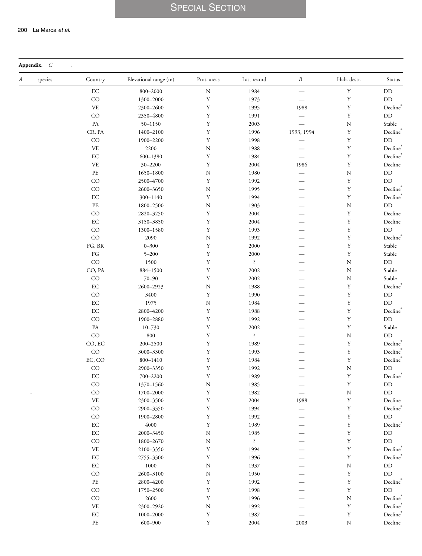# **Appendix.** *C* .

| А | species | Country                                           | Elevational range (m) | Prot. areas    | Last record    | $\boldsymbol{B}$         | Hab. destr. | Status               |
|---|---------|---------------------------------------------------|-----------------------|----------------|----------------|--------------------------|-------------|----------------------|
|   |         | $\operatorname{EC}$                               | 800-2000              | ${\rm N}$      | 1984           |                          | $\mathbf Y$ | $\operatorname{DD}$  |
|   |         | CO                                                | 1300-2000             | $\mathbf Y$    | 1973           |                          | $\mathbf Y$ | $\mathrm{DD}$        |
|   |         | $\ensuremath{\mathsf{VE}}$                        | 2300-2600             | $\mathbf Y$    | 1995           | 1988                     | $\mathbf Y$ | Decline*             |
|   |         | CO                                                | 2350-4800             | $\mathbf Y$    | 1991           | $\overline{\phantom{0}}$ | $\mathbf Y$ | $\mathrm{DD}$        |
|   |         | $\mathbf{PA}$                                     | $50 - 1150$           | $\mathbf Y$    | 2003           |                          | ${\bf N}$   | Stable               |
|   |         | CR, PA                                            | 1400-2100             | $\mathbf Y$    | 1996           | 1993, 1994               | $\mathbf Y$ | Decline <sup>*</sup> |
|   |         | CO                                                | 1900-2200             | $\mathbf Y$    | 1998           |                          | $\mathbf Y$ | $\mathrm{DD}$        |
|   |         | $\ensuremath{\mathsf{VE}}$                        | 2200                  | ${\rm N}$      | 1988           |                          | $\mathbf Y$ | Decline*             |
|   |         | $\operatorname{EC}$                               | 600-1380              | $\mathbf Y$    | 1984           |                          | $\mathbf Y$ | Decline*             |
|   |         | $\ensuremath{\mathsf{VE}}$                        | 30-2200               | $\mathbf Y$    | 2004           | 1986                     | $\mathbf Y$ | Decline              |
|   |         | $\rm PE$                                          | 1650-1800             | $\mathbf N$    | 1980           | $\overline{\phantom{0}}$ | ${\rm N}$   | $\operatorname{DD}$  |
|   |         | CO                                                | 2500-4700             | $\mathbf Y$    | 1992           |                          | $\mathbf Y$ | $\operatorname{DD}$  |
|   |         | CO                                                | 2600-3650             | $\overline{N}$ | 1995           |                          | $\mathbf Y$ | Decline*             |
|   |         | $\operatorname{EC}$                               | $300 - 1140$          | $\mathbf Y$    | 1994           |                          | $\mathbf Y$ | Decline*             |
|   |         | $\rm PE$                                          | 1800-2500             | ${\rm N}$      | 1903           |                          | ${\rm N}$   | $\mathrm{DD}$        |
|   |         | CO                                                | 2820-3250             | $\mathbf Y$    | 2004           |                          | $\mathbf Y$ | Decline              |
|   |         | $\operatorname{EC}$                               | 3150-3850             | Y              | 2004           |                          | $\mathbf Y$ | Decline              |
|   |         | CO                                                | 1300-1580             | $\mathbf Y$    | 1993           |                          | $\mathbf Y$ | $\mathrm{DD}$        |
|   |         | CO                                                | 2090                  | ${\rm N}$      | 1992           |                          | $\mathbf Y$ | Decline*             |
|   |         | $\mathcal{F}\mathcal{G},\,\mathcal{B}\mathcal{R}$ | $0 - 300$             | $\mathbf Y$    | 2000           |                          |             | Stable               |
|   |         |                                                   |                       |                |                |                          | $\mathbf Y$ |                      |
|   |         | ${\mathcal{F}}{\mathcal{G}}$                      | $5 - 200$             | $\mathbf Y$    | 2000           |                          | $\mathbf Y$ | Stable               |
|   |         | CO                                                | 1500                  | $\mathbf Y$    | $\ddot{\cdot}$ |                          | ${\rm N}$   | $\mathrm{DD}$        |
|   |         | CO, PA                                            | 884-1500              | $\mathbf Y$    | 2002           |                          | ${\bf N}$   | Stable               |
|   |         | CO                                                | $70 - 90$             | $\mathbf Y$    | 2002           |                          | ${\bf N}$   | Stable               |
|   |         | $\operatorname{EC}$                               | 2600-2923             | ${\rm N}$      | 1988           |                          | $\mathbf Y$ | Decline*             |
|   |         | CO                                                | 3400                  | $\mathbf Y$    | 1990           |                          | $\mathbf Y$ | $\mathrm{DD}$        |
|   |         | $\operatorname{EC}$                               | 1975                  | $\mathbf N$    | 1984           |                          | $\mathbf Y$ | $\rm{DD}$            |
|   |         | $\operatorname{EC}$                               | 2800-4200             | $\mathbf Y$    | 1988           |                          | $\mathbf Y$ | Decline*             |
|   |         | CO                                                | 1900-2880             | $\mathbf Y$    | 1992           |                          | $\mathbf Y$ | $\mathrm{DD}$        |
|   |         | $\mathbf{PA}$                                     | $10 - 730$            | $\mathbf Y$    | 2002           |                          | $\mathbf Y$ | Stable               |
|   |         | CO                                                | 800                   | $\mathbf Y$    | ?              |                          | ${\bf N}$   | $\rm{DD}$            |
|   |         | CO, EC                                            | 200-2500              | $\mathbf Y$    | 1989           |                          | $\mathbf Y$ | Decline*             |
|   |         | $_{\rm CO}$                                       | 3000-3300             | $\mathbf Y$    | 1993           |                          | $\mathbf Y$ | Decline*             |
|   |         | EC, CO                                            | 800-1410              | $\mathbf Y$    | 1984           |                          | $\mathbf Y$ | $\mathrm{Dedine}^*$  |
|   |         | CO                                                | 2900-3350             | $\mathbf Y$    | 1992           |                          | ${\bf N}$   | $\mathrm{DD}$        |
|   |         | $\operatorname{EC}$                               | 700-2200              | $\mathbf Y$    | 1989           |                          | $\mathbf Y$ | Decline*             |
|   |         | CO                                                | 1370-1560             | $\rm N$        | 1985           |                          | $\mathbf Y$ | DD                   |
|   |         | CO                                                | $1700 - 2000$         | $\mathbf Y$    | 1982           |                          | ${\bf N}$   | $\operatorname{DD}$  |
|   |         | $\ensuremath{\mathsf{VE}}$                        | 2300-3500             | $\mathbf Y$    | 2004           | 1988                     | $\mathbf Y$ | $\rm Decline$        |
|   |         | CO                                                | 2900-3350             | $\mathbf Y$    | 1994           |                          | $\mathbf Y$ | Decline*             |
|   |         | CO                                                | 1900-2800             | $\mathbf Y$    | 1992           |                          | $\mathbf Y$ | $\mathrm{DD}$        |
|   |         | $\operatorname{EC}$                               | 4000                  | $\mathbf Y$    | 1989           |                          | $\mathbf Y$ | Decline*             |
|   |         | $\operatorname{EC}$                               | 2000-3450             | $\rm N$        | 1985           |                          | $\mathbf Y$ | $\operatorname{DD}$  |
|   |         | CO                                                | 1800-2670             | $\rm N$        | ₹              |                          | $\mathbf Y$ | $\operatorname{DD}$  |
|   |         | $\ensuremath{\mathsf{VE}}$                        | 2100-3350             | $\mathbf Y$    | 1994           |                          | $\mathbf Y$ | Decline <sup>*</sup> |
|   |         | $\operatorname{EC}$                               | 2755-3300             | $\mathbf Y$    | 1996           |                          | $\mathbf Y$ | Decline*             |
|   |         | $\operatorname{EC}$                               |                       |                |                |                          |             |                      |
|   |         |                                                   | 1000                  | $\rm N$        | 1937           |                          | ${\bf N}$   | $\rm DD$             |
|   |         | CO                                                | 2600-3100             | $\rm N$        | 1950           |                          | $\mathbf Y$ | $\mathrm{DD}$        |
|   |         | $\rm PE$                                          | 2800-4200             | $\mathbf Y$    | 1992           |                          | $\mathbf Y$ | Decline*             |
|   |         | CO                                                | 1750-2500             | $\mathbf Y$    | 1998           |                          | $\mathbf Y$ | $\rm{DD}$            |
|   |         | CO                                                | 2600                  | $\mathbf Y$    | 1996           |                          | ${\bf N}$   | Decline*             |
|   |         | VE                                                | 2300-2920             | N              | 1992           |                          | $\mathbf Y$ | Decline <sup>®</sup> |
|   |         | $\operatorname{EC}$                               | $1000 - 2000$         | $\mathbf Y$    | 1987           |                          | $\mathbf Y$ | Decline*             |
|   |         | $\rm PE$                                          | 600-900               | $\mathbf Y$    | 2004           | 2003                     | ${\bf N}$   | Decline              |